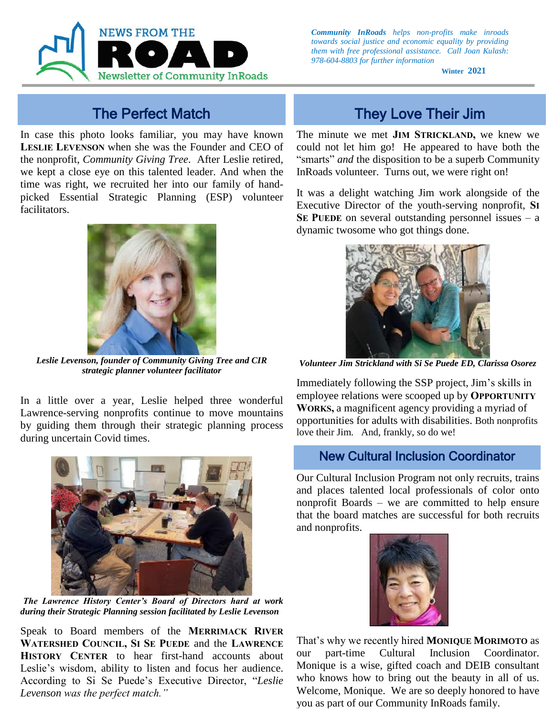

In case this photo looks familiar, you may have known **LESLIE LEVENSON** when she was the Founder and CEO of the nonprofit, *Community Giving Tree*. After Leslie retired, we kept a close eye on this talented leader. And when the time was right, we recruited her into our family of handpicked Essential Strategic Planning (ESP) volunteer facilitators.



*Leslie Levenson, founder of Community Giving Tree and CIR strategic planner volunteer facilitator*

In a little over a year, Leslie helped three wonderful Lawrence-serving nonprofits continue to move mountains by guiding them through their strategic planning process during uncertain Covid times.



*The Lawrence History Center's Board of Directors hard at work during their Strategic Planning session facilitated by Leslie Levenson*

According to Si Se Puede's Executive Director, "*Leslie* **Spring 2020** *Levenson was the perfect match."* Speak to Board members of the **MERRIMACK RIVER WATERSHED COUNCIL, SI SE PUEDE** and the **LAWRENCE HISTORY CENTER** to hear first-hand accounts about Leslie's wisdom, ability to listen and focus her audience.

*Community InRoads helps non-profits make inroads towards social justice and economic equality by providing them with free professional assistance. Call Joan Kulash: 978-604-8803 for further information*

**Winter 2021**

## The Perfect Match They Love Their Jim

The minute we met **JIM STRICKLAND,** we knew we could not let him go!He appeared to have both the "smarts" *and* the disposition to be a superb Community InRoads volunteer. Turns out, we were right on!

It was a delight watching Jim work alongside of the Executive Director of the youth-serving nonprofit, **SI SE PUEDE** on several outstanding personnel issues  $-$  a dynamic twosome who got things done.



*Volunteer Jim Strickland with Si Se Puede ED, Clarissa Osorez*

Immediately following the SSP project, Jim's skills in employee relations were scooped up by **OPPORTUNITY WORKS,** a magnificent agency providing a myriad of opportunities for adults with disabilities. Both nonprofits love their Jim. And, frankly, so do we!

### New Cultural Inclusion Coordinator

Our Cultural Inclusion Program not only recruits, trains and places talented local professionals of color onto nonprofit Boards – we are committed to help ensure that the board matches are successful for both recruits and nonprofits.



who knows how to bring out the beauty in all of us. Welcome, Monique. We are so deeply honored to have That's why we recently hired **MONIQUE MORIMOTO** as our part-time Cultural Inclusion Coordinator. Monique is a wise, gifted coach and DEIB consultant you as part of our Community InRoads family.